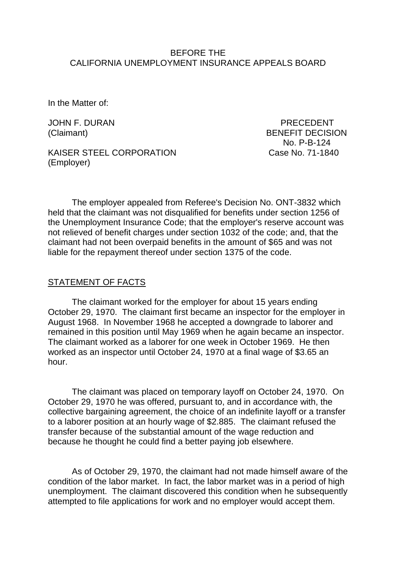### BEFORE THE CALIFORNIA UNEMPLOYMENT INSURANCE APPEALS BOARD

In the Matter of:

JOHN F. DURAN PRECEDENT

(Claimant) BENEFIT DECISION No. P-B-124

KAISER STEEL CORPORATION Case No. 71-1840 (Employer)

The employer appealed from Referee's Decision No. ONT-3832 which held that the claimant was not disqualified for benefits under section 1256 of the Unemployment Insurance Code; that the employer's reserve account was not relieved of benefit charges under section 1032 of the code; and, that the claimant had not been overpaid benefits in the amount of \$65 and was not liable for the repayment thereof under section 1375 of the code.

### STATEMENT OF FACTS

The claimant worked for the employer for about 15 years ending October 29, 1970. The claimant first became an inspector for the employer in August 1968. In November 1968 he accepted a downgrade to laborer and remained in this position until May 1969 when he again became an inspector. The claimant worked as a laborer for one week in October 1969. He then worked as an inspector until October 24, 1970 at a final wage of \$3.65 an hour.

The claimant was placed on temporary layoff on October 24, 1970. On October 29, 1970 he was offered, pursuant to, and in accordance with, the collective bargaining agreement, the choice of an indefinite layoff or a transfer to a laborer position at an hourly wage of \$2.885. The claimant refused the transfer because of the substantial amount of the wage reduction and because he thought he could find a better paying job elsewhere.

As of October 29, 1970, the claimant had not made himself aware of the condition of the labor market. In fact, the labor market was in a period of high unemployment. The claimant discovered this condition when he subsequently attempted to file applications for work and no employer would accept them.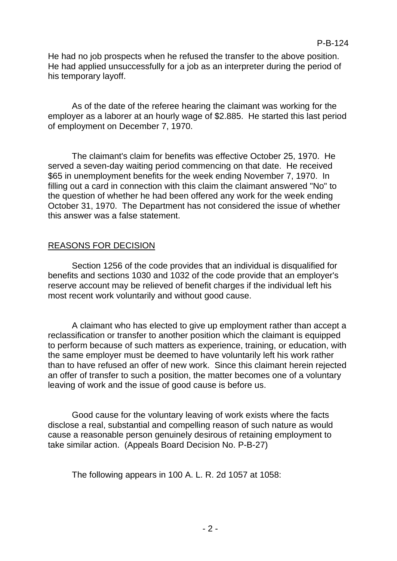## P-B-124

He had no job prospects when he refused the transfer to the above position. He had applied unsuccessfully for a job as an interpreter during the period of his temporary layoff.

As of the date of the referee hearing the claimant was working for the employer as a laborer at an hourly wage of \$2.885. He started this last period of employment on December 7, 1970.

The claimant's claim for benefits was effective October 25, 1970. He served a seven-day waiting period commencing on that date. He received \$65 in unemployment benefits for the week ending November 7, 1970. In filling out a card in connection with this claim the claimant answered "No" to the question of whether he had been offered any work for the week ending October 31, 1970. The Department has not considered the issue of whether this answer was a false statement.

# REASONS FOR DECISION

Section 1256 of the code provides that an individual is disqualified for benefits and sections 1030 and 1032 of the code provide that an employer's reserve account may be relieved of benefit charges if the individual left his most recent work voluntarily and without good cause.

A claimant who has elected to give up employment rather than accept a reclassification or transfer to another position which the claimant is equipped to perform because of such matters as experience, training, or education, with the same employer must be deemed to have voluntarily left his work rather than to have refused an offer of new work. Since this claimant herein rejected an offer of transfer to such a position, the matter becomes one of a voluntary leaving of work and the issue of good cause is before us.

Good cause for the voluntary leaving of work exists where the facts disclose a real, substantial and compelling reason of such nature as would cause a reasonable person genuinely desirous of retaining employment to take similar action. (Appeals Board Decision No. P-B-27)

The following appears in 100 A. L. R. 2d 1057 at 1058: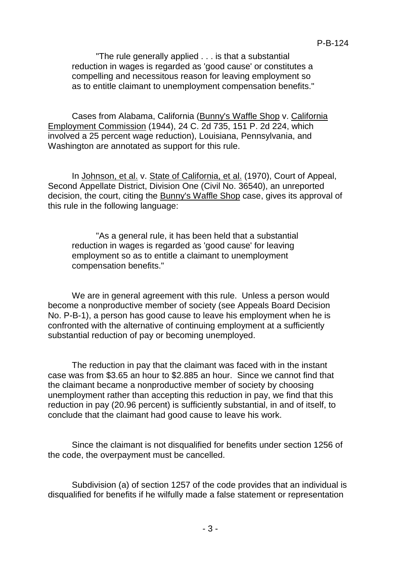"The rule generally applied . . . is that a substantial reduction in wages is regarded as 'good cause' or constitutes a compelling and necessitous reason for leaving employment so as to entitle claimant to unemployment compensation benefits."

Cases from Alabama, California (Bunny's Waffle Shop v. California Employment Commission (1944), 24 C. 2d 735, 151 P. 2d 224, which involved a 25 percent wage reduction), Louisiana, Pennsylvania, and Washington are annotated as support for this rule.

In Johnson, et al. v. State of California, et al. (1970), Court of Appeal, Second Appellate District, Division One (Civil No. 36540), an unreported decision, the court, citing the Bunny's Waffle Shop case, gives its approval of this rule in the following language:

"As a general rule, it has been held that a substantial reduction in wages is regarded as 'good cause' for leaving employment so as to entitle a claimant to unemployment compensation benefits."

We are in general agreement with this rule. Unless a person would become a nonproductive member of society (see Appeals Board Decision No. P-B-1), a person has good cause to leave his employment when he is confronted with the alternative of continuing employment at a sufficiently substantial reduction of pay or becoming unemployed.

The reduction in pay that the claimant was faced with in the instant case was from \$3.65 an hour to \$2.885 an hour. Since we cannot find that the claimant became a nonproductive member of society by choosing unemployment rather than accepting this reduction in pay, we find that this reduction in pay (20.96 percent) is sufficiently substantial, in and of itself, to conclude that the claimant had good cause to leave his work.

Since the claimant is not disqualified for benefits under section 1256 of the code, the overpayment must be cancelled.

Subdivision (a) of section 1257 of the code provides that an individual is disqualified for benefits if he wilfully made a false statement or representation